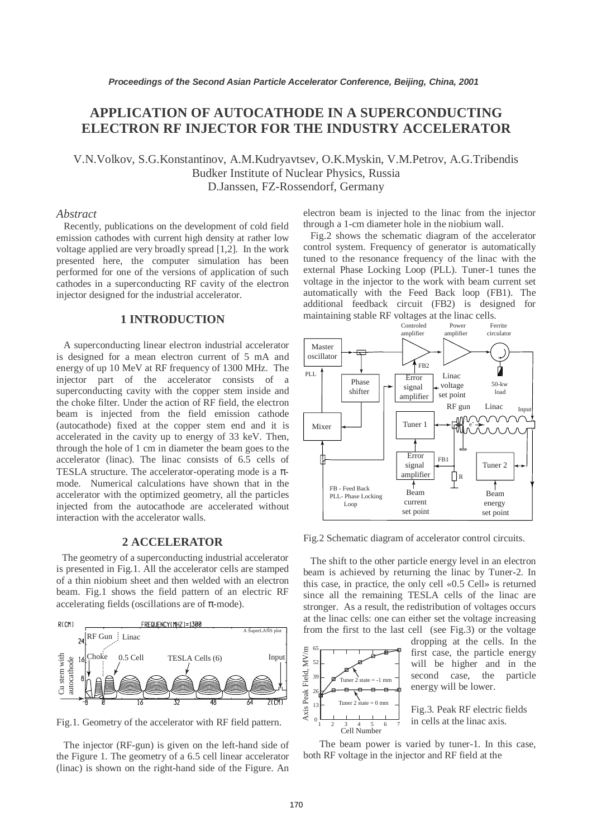# **APPLICATION OF AUTOCATHODE IN A SUPERCONDUCTING ELECTRON RF INJECTOR FOR THE INDUSTRY ACCELERATOR**

V.N.Volkov, S.G.Konstantinov, A.M.Kudryavtsev, O.K.Myskin, V.M.Petrov, A.G.Tribendis Budker Institute of Nuclear Physics, Russia D.Janssen, FZ-Rossendorf, Germany

### *Abstract*

 Recently, publications on the development of cold field emission cathodes with current high density at rather low voltage applied are very broadly spread [1,2]. In the work presented here, the computer simulation has been performed for one of the versions of application of such cathodes in a superconducting RF cavity of the electron injector designed for the industrial accelerator.

#### **1 INTRODUCTION**

 A superconducting linear electron industrial accelerator is designed for a mean electron current of 5 mA and energy of up 10 MeV at RF frequency of 1300 MHz. The injector part of the accelerator consists of a superconducting cavity with the copper stem inside and the choke filter. Under the action of RF field, the electron beam is injected from the field emission cathode (autocathode) fixed at the copper stem end and it is accelerated in the cavity up to energy of 33 keV. Then, through the hole of 1 cm in diameter the beam goes to the accelerator (linac). The linac consists of 6.5 cells of TESLA structure. The accelerator-operating mode is a  $\pi$ mode. Numerical calculations have shown that in the accelerator with the optimized geometry, all the particles injected from the autocathode are accelerated without interaction with the accelerator walls.

### **2 ACCELERATOR**

The geometry of a superconducting industrial accelerator is presented in Fig.1. All the accelerator cells are stamped of a thin niobium sheet and then welded with an electron beam. Fig.1 shows the field pattern of an electric RF accelerating fields (oscillations are of  $\pi$ -mode).



Fig.1. Geometry of the accelerator with RF field pattern.

 The injector (RF-gun) is given on the left-hand side of the Figure 1. The geometry of a 6.5 cell linear accelerator (linac) is shown on the right-hand side of the Figure. An electron beam is injected to the linac from the injector through a 1-cm diameter hole in the niobium wall.

 Fig.2 shows the schematic diagram of the accelerator control system. Frequency of generator is automatically tuned to the resonance frequency of the linac with the external Phase Locking Loop (PLL). Tuner-1 tunes the voltage in the injector to the work with beam current set automatically with the Feed Back loop (FB1). The additional feedback circuit (FB2) is designed for maintaining stable RF voltages at the linac cells.



Fig.2 Schematic diagram of accelerator control circuits.

 The shift to the other particle energy level in an electron beam is achieved by returning the linac by Tuner-2. In this case, in practice, the only cell «0.5 Cell» is returned since all the remaining TESLA cells of the linac are stronger. As a result, the redistribution of voltages occurs at the linac cells: one can either set the voltage increasing from the first to the last cell (see Fig.3) or the voltage



dropping at the cells. In the first case, the particle energy will be higher and in the second case, the particle energy will be lower.

Fig.3. Peak RF electric fields in cells at the linac axis.

 The beam power is varied by tuner-1. In this case, both RF voltage in the injector and RF field at the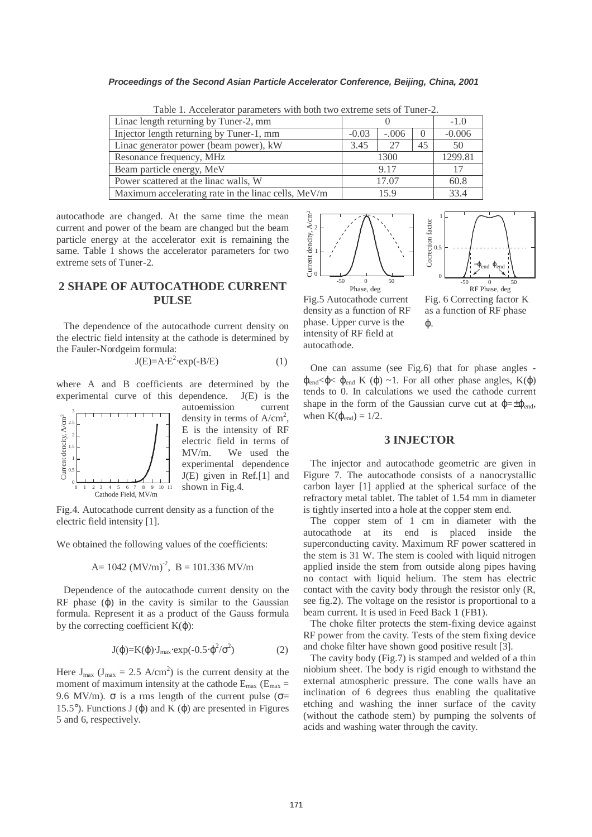#### **Proceedings of the Second Asian Particle Accelerator Conference, Beijing, China, 2001**

| Linac length returning by Tuner-2, mm               |         |         |                  | $-1.0$   |
|-----------------------------------------------------|---------|---------|------------------|----------|
| Injector length returning by Tuner-1, mm            | $-0.03$ | $-.006$ | $\left( \right)$ | $-0.006$ |
| Linac generator power (beam power), kW              | 3.45    | 27      | 45               | 50       |
| Resonance frequency, MHz                            | 1300    |         |                  | 1299.81  |
| Beam particle energy, MeV                           | 9.17    |         |                  | 17       |
| Power scattered at the linac walls, W               | 17.07   |         |                  | 60.8     |
| Maximum accelerating rate in the linac cells, MeV/m | 15.9    |         |                  | 33.4     |

Table 1. Accelerator parameters with both two extreme sets of Tuner-2.

autocathode are changed. At the same time the mean current and power of the beam are changed but the beam particle energy at the accelerator exit is remaining the same. Table 1 shows the accelerator parameters for two extreme sets of Tuner-2.

## **2 SHAPE OF AUTOCATHODE CURRENT PULSE**

 The dependence of the autocathode current density on the electric field intensity at the cathode is determined by the Fauler-Nordgeim formula:

$$
J(E)=A \cdot E^2 \cdot exp(-B/E) \tag{1}
$$

where A and B coefficients are determined by the experimental curve of this dependence. J(E) is the



autoemission current density in terms of  $A/cm^2$ , E is the intensity of RF electric field in terms of MV/m. We used the experimental dependence J(E) given in Ref.[1] and shown in Fig.4.

Fig.4. Autocathode current density as a function of the electric field intensity [1].

We obtained the following values of the coefficients:

A= 1042 (MV/m)-2, B = 101.336 MV/m

 Dependence of the autocathode current density on the RF phase  $(\varphi)$  in the cavity is similar to the Gaussian formula. Represent it as a product of the Gauss formula by the correcting coefficient  $K(\varphi)$ :

$$
J(\varphi)=K(\varphi)\cdot J_{\text{max}}\cdot \exp(-0.5\cdot \varphi^2/\sigma^2) \tag{2}
$$

Here  $J_{max}$  ( $J_{max} = 2.5$  A/cm<sup>2</sup>) is the current density at the moment of maximum intensity at the cathode  $E_{\text{max}}$  ( $E_{\text{max}}$  = 9.6 MV/m).  $\sigma$  is a rms length of the current pulse ( $\sigma$ = 15.5°). Functions J (φ) and K (φ) are presented in Figures 5 and 6, respectively.



Fig.5 Autocathode current density as a function of RF phase. Upper curve is the intensity of RF field at autocathode.

Fig. 6 Correcting factor K as a function of RF phase ϕ.

 One can assume (see Fig.6) that for phase angles -  $\varphi_{end}$ < $\varphi$ < $\varphi_{end}$  K  $(\varphi) \sim 1$ . For all other phase angles, K $(\varphi)$ tends to 0. In calculations we used the cathode current shape in the form of the Gaussian curve cut at  $\varphi = \pm \varphi_{\text{end}}$ , when  $K(\varphi_{end}) = 1/2$ .

#### **3 INJECTOR**

 The injector and autocathode geometric are given in Figure 7. The autocathode consists of a nanocrystallic carbon layer [1] applied at the spherical surface of the refractory metal tablet. The tablet of 1.54 mm in diameter is tightly inserted into a hole at the copper stem end.

 The copper stem of 1 cm in diameter with the autocathode at its end is placed inside the superconducting cavity. Maximum RF power scattered in the stem is 31 W. The stem is cooled with liquid nitrogen applied inside the stem from outside along pipes having no contact with liquid helium. The stem has electric contact with the cavity body through the resistor only (R, see fig.2). The voltage on the resistor is proportional to a beam current. It is used in Feed Back 1 (FB1).

 The choke filter protects the stem-fixing device against RF power from the cavity. Tests of the stem fixing device and choke filter have shown good positive result [3].

 The cavity body (Fig.7) is stamped and welded of a thin niobium sheet. The body is rigid enough to withstand the external atmospheric pressure. The cone walls have an inclination of 6 degrees thus enabling the qualitative etching and washing the inner surface of the cavity (without the cathode stem) by pumping the solvents of acids and washing water through the cavity.